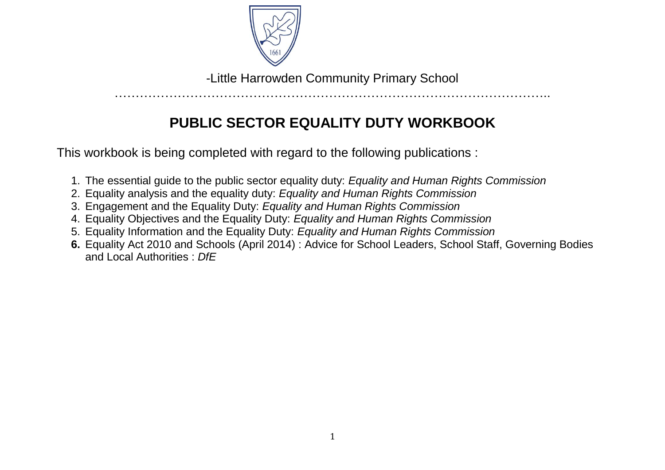

-Little Harrowden Community Primary School

…………………………………………………………………………………………..

# **PUBLIC SECTOR EQUALITY DUTY WORKBOOK**

This workbook is being completed with regard to the following publications :

- 1. The essential guide to the public sector equality duty: *Equality and Human Rights Commission*
- 2. Equality analysis and the equality duty: *Equality and Human Rights Commission*
- 3. Engagement and the Equality Duty: *Equality and Human Rights Commission*
- 4. Equality Objectives and the Equality Duty: *Equality and Human Rights Commission*
- 5. Equality Information and the Equality Duty: *Equality and Human Rights Commission*
- **6.** Equality Act 2010 and Schools (April 2014) : Advice for School Leaders, School Staff, Governing Bodies and Local Authorities : *DfE*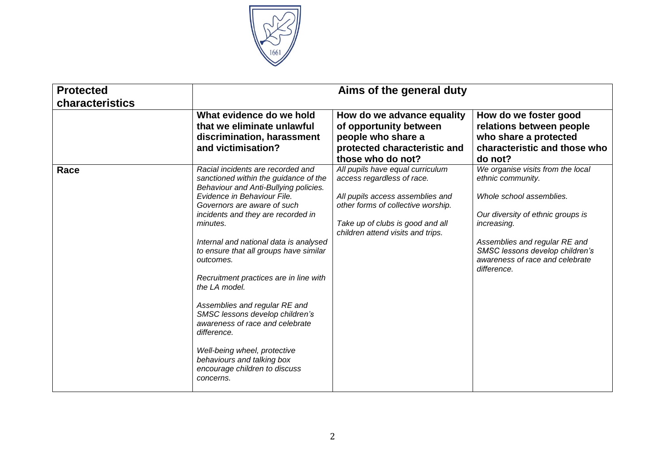

| <b>Protected</b><br>characteristics |                                                                                                                                                                                                                                                                                                                                                                                                                                                                                                                                                                                                                                   | Aims of the general duty                                                                                                                                                                                          |                                                                                                                                                                                                                                                                     |
|-------------------------------------|-----------------------------------------------------------------------------------------------------------------------------------------------------------------------------------------------------------------------------------------------------------------------------------------------------------------------------------------------------------------------------------------------------------------------------------------------------------------------------------------------------------------------------------------------------------------------------------------------------------------------------------|-------------------------------------------------------------------------------------------------------------------------------------------------------------------------------------------------------------------|---------------------------------------------------------------------------------------------------------------------------------------------------------------------------------------------------------------------------------------------------------------------|
|                                     | What evidence do we hold<br>that we eliminate unlawful<br>discrimination, harassment<br>and victimisation?                                                                                                                                                                                                                                                                                                                                                                                                                                                                                                                        | How do we advance equality<br>of opportunity between<br>people who share a<br>protected characteristic and<br>those who do not?                                                                                   | How do we foster good<br>relations between people<br>who share a protected<br>characteristic and those who<br>do not?                                                                                                                                               |
| Race                                | Racial incidents are recorded and<br>sanctioned within the guidance of the<br>Behaviour and Anti-Bullying policies.<br>Evidence in Behaviour File.<br>Governors are aware of such<br>incidents and they are recorded in<br>minutes.<br>Internal and national data is analysed<br>to ensure that all groups have similar<br>outcomes.<br>Recruitment practices are in line with<br>the LA model.<br>Assemblies and regular RE and<br>SMSC lessons develop children's<br>awareness of race and celebrate<br>difference.<br>Well-being wheel, protective<br>behaviours and talking box<br>encourage children to discuss<br>concerns. | All pupils have equal curriculum<br>access regardless of race.<br>All pupils access assemblies and<br>other forms of collective worship.<br>Take up of clubs is good and all<br>children attend visits and trips. | We organise visits from the local<br>ethnic community.<br>Whole school assemblies.<br>Our diversity of ethnic groups is<br><i>increasing.</i><br>Assemblies and regular RE and<br>SMSC lessons develop children's<br>awareness of race and celebrate<br>difference. |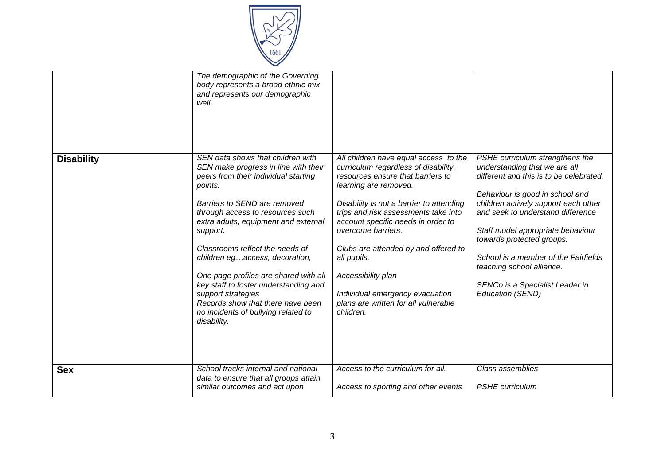

|                   | The demographic of the Governing<br>body represents a broad ethnic mix<br>and represents our demographic<br>well.                                                                                                                                                                                                                                                                                                                                                                                                            |                                                                                                                                                                                                                                                                                                                                                                                                                                                                  |                                                                                                                                                                                                                                                                                                                                                                                                                           |
|-------------------|------------------------------------------------------------------------------------------------------------------------------------------------------------------------------------------------------------------------------------------------------------------------------------------------------------------------------------------------------------------------------------------------------------------------------------------------------------------------------------------------------------------------------|------------------------------------------------------------------------------------------------------------------------------------------------------------------------------------------------------------------------------------------------------------------------------------------------------------------------------------------------------------------------------------------------------------------------------------------------------------------|---------------------------------------------------------------------------------------------------------------------------------------------------------------------------------------------------------------------------------------------------------------------------------------------------------------------------------------------------------------------------------------------------------------------------|
| <b>Disability</b> | SEN data shows that children with<br>SEN make progress in line with their<br>peers from their individual starting<br>points.<br>Barriers to SEND are removed<br>through access to resources such<br>extra adults, equipment and external<br>support.<br>Classrooms reflect the needs of<br>children egaccess, decoration,<br>One page profiles are shared with all<br>key staff to foster understanding and<br>support strategies<br>Records show that there have been<br>no incidents of bullying related to<br>disability. | All children have equal access to the<br>curriculum regardless of disability,<br>resources ensure that barriers to<br>learning are removed.<br>Disability is not a barrier to attending<br>trips and risk assessments take into<br>account specific needs in order to<br>overcome barriers.<br>Clubs are attended by and offered to<br>all pupils.<br>Accessibility plan<br>Individual emergency evacuation<br>plans are written for all vulnerable<br>children. | PSHE curriculum strengthens the<br>understanding that we are all<br>different and this is to be celebrated.<br>Behaviour is good in school and<br>children actively support each other<br>and seek to understand difference<br>Staff model appropriate behaviour<br>towards protected groups.<br>School is a member of the Fairfields<br>teaching school alliance.<br>SENCo is a Specialist Leader in<br>Education (SEND) |
| <b>Sex</b>        | School tracks internal and national<br>data to ensure that all groups attain<br>similar outcomes and act upon                                                                                                                                                                                                                                                                                                                                                                                                                | Access to the curriculum for all.<br>Access to sporting and other events                                                                                                                                                                                                                                                                                                                                                                                         | Class assemblies<br><b>PSHE</b> curriculum                                                                                                                                                                                                                                                                                                                                                                                |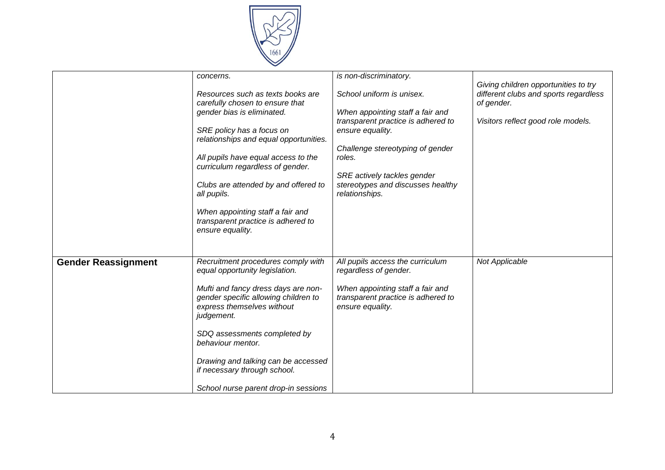

|                            | concerns.<br>Resources such as texts books are<br>carefully chosen to ensure that<br>gender bias is eliminated.<br>SRE policy has a focus on<br>relationships and equal opportunities.<br>All pupils have equal access to the<br>curriculum regardless of gender.<br>Clubs are attended by and offered to<br>all pupils.<br>When appointing staff a fair and<br>transparent practice is adhered to<br>ensure equality. | is non-discriminatory.<br>School uniform is unisex.<br>When appointing staff a fair and<br>transparent practice is adhered to<br>ensure equality.<br>Challenge stereotyping of gender<br>roles.<br>SRE actively tackles gender<br>stereotypes and discusses healthy<br>relationships. | Giving children opportunities to try<br>different clubs and sports regardless<br>of gender.<br>Visitors reflect good role models. |
|----------------------------|------------------------------------------------------------------------------------------------------------------------------------------------------------------------------------------------------------------------------------------------------------------------------------------------------------------------------------------------------------------------------------------------------------------------|---------------------------------------------------------------------------------------------------------------------------------------------------------------------------------------------------------------------------------------------------------------------------------------|-----------------------------------------------------------------------------------------------------------------------------------|
| <b>Gender Reassignment</b> | Recruitment procedures comply with<br>equal opportunity legislation.<br>Mufti and fancy dress days are non-<br>gender specific allowing children to<br>express themselves without<br>judgement.<br>SDQ assessments completed by<br>behaviour mentor.<br>Drawing and talking can be accessed<br>if necessary through school.<br>School nurse parent drop-in sessions                                                    | All pupils access the curriculum<br>regardless of gender.<br>When appointing staff a fair and<br>transparent practice is adhered to<br>ensure equality.                                                                                                                               | Not Applicable                                                                                                                    |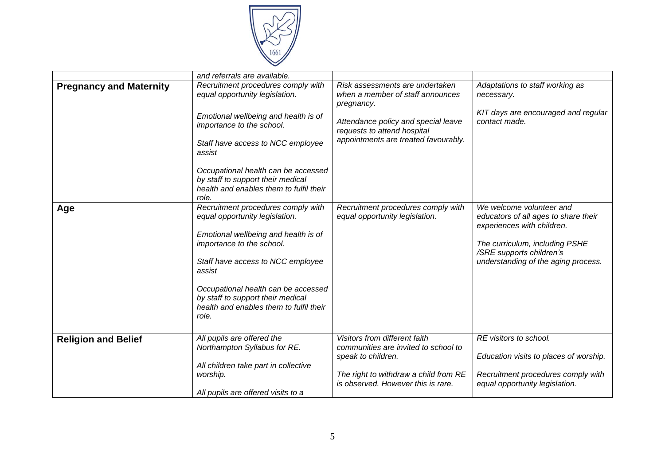

|                                | and referrals are available.                                                                                                 |                                                                                                            |                                                                                                |
|--------------------------------|------------------------------------------------------------------------------------------------------------------------------|------------------------------------------------------------------------------------------------------------|------------------------------------------------------------------------------------------------|
| <b>Pregnancy and Maternity</b> | Recruitment procedures comply with<br>equal opportunity legislation.                                                         | Risk assessments are undertaken<br>when a member of staff announces<br>pregnancy.                          | Adaptations to staff working as<br>necessary.                                                  |
|                                | Emotional wellbeing and health is of<br>importance to the school.                                                            | Attendance policy and special leave<br>requests to attend hospital<br>appointments are treated favourably. | KIT days are encouraged and regular<br>contact made.                                           |
|                                | Staff have access to NCC employee<br>assist                                                                                  |                                                                                                            |                                                                                                |
|                                | Occupational health can be accessed<br>by staff to support their medical<br>health and enables them to fulfil their<br>role. |                                                                                                            |                                                                                                |
| Age                            | Recruitment procedures comply with<br>equal opportunity legislation.<br>Emotional wellbeing and health is of                 | Recruitment procedures comply with<br>equal opportunity legislation.                                       | We welcome volunteer and<br>educators of all ages to share their<br>experiences with children. |
|                                | importance to the school.                                                                                                    |                                                                                                            | The curriculum, including PSHE<br>/SRE supports children's                                     |
|                                | Staff have access to NCC employee<br>assist                                                                                  |                                                                                                            | understanding of the aging process.                                                            |
|                                | Occupational health can be accessed<br>by staff to support their medical<br>health and enables them to fulfil their<br>role. |                                                                                                            |                                                                                                |
| <b>Religion and Belief</b>     | All pupils are offered the<br>Northampton Syllabus for RE.                                                                   | Visitors from different faith<br>communities are invited to school to                                      | RE visitors to school.                                                                         |
|                                | All children take part in collective                                                                                         | speak to children.                                                                                         | Education visits to places of worship.                                                         |
|                                | worship.<br>All pupils are offered visits to a                                                                               | The right to withdraw a child from RE<br>is observed. However this is rare.                                | Recruitment procedures comply with<br>equal opportunity legislation.                           |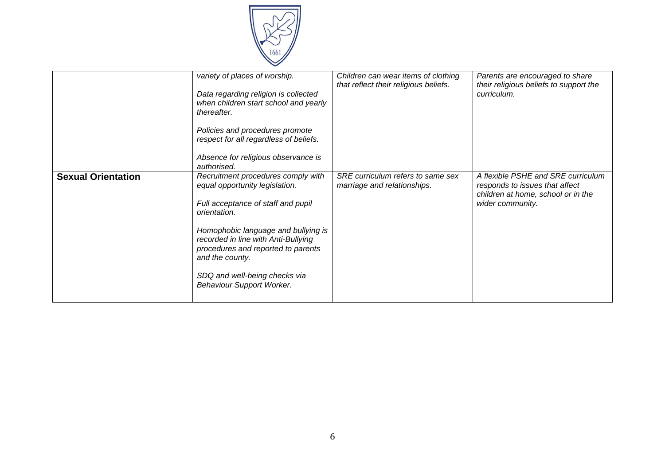

|                           | variety of places of worship.<br>Data regarding religion is collected<br>when children start school and yearly<br>thereafter.<br>Policies and procedures promote<br>respect for all regardless of beliefs.<br>Absence for religious observance is<br>authorised.                                                                | Children can wear items of clothing<br>that reflect their religious beliefs. | Parents are encouraged to share<br>their religious beliefs to support the<br>curriculum.                                       |
|---------------------------|---------------------------------------------------------------------------------------------------------------------------------------------------------------------------------------------------------------------------------------------------------------------------------------------------------------------------------|------------------------------------------------------------------------------|--------------------------------------------------------------------------------------------------------------------------------|
| <b>Sexual Orientation</b> | Recruitment procedures comply with<br>equal opportunity legislation.<br>Full acceptance of staff and pupil<br>orientation.<br>Homophobic language and bullying is<br>recorded in line with Anti-Bullying<br>procedures and reported to parents<br>and the county.<br>SDQ and well-being checks via<br>Behaviour Support Worker. | SRE curriculum refers to same sex<br>marriage and relationships.             | A flexible PSHE and SRE curriculum<br>responds to issues that affect<br>children at home, school or in the<br>wider community. |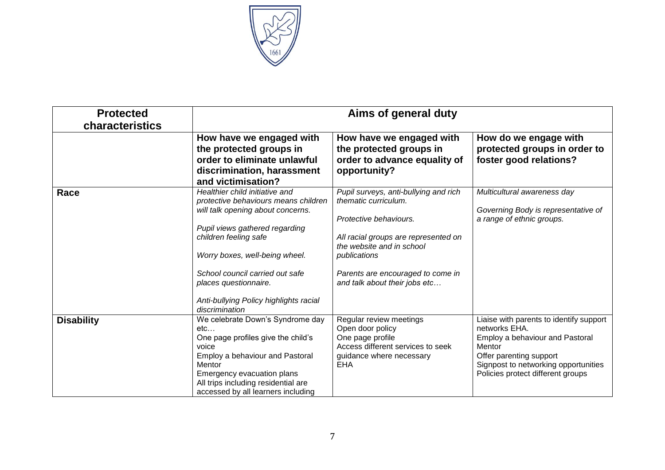

| <b>Protected</b><br>characteristics |                                                                                                                                                                                                                                                                                                                                  | Aims of general duty                                                                                                                                                                                                                               |                                                                                                                                                                                                               |  |  |  |
|-------------------------------------|----------------------------------------------------------------------------------------------------------------------------------------------------------------------------------------------------------------------------------------------------------------------------------------------------------------------------------|----------------------------------------------------------------------------------------------------------------------------------------------------------------------------------------------------------------------------------------------------|---------------------------------------------------------------------------------------------------------------------------------------------------------------------------------------------------------------|--|--|--|
|                                     | How have we engaged with<br>the protected groups in<br>order to eliminate unlawful<br>discrimination, harassment<br>and victimisation?                                                                                                                                                                                           | How have we engaged with<br>the protected groups in<br>order to advance equality of<br>opportunity?                                                                                                                                                | How do we engage with<br>protected groups in order to<br>foster good relations?                                                                                                                               |  |  |  |
| Race                                | Healthier child initiative and<br>protective behaviours means children<br>will talk opening about concerns.<br>Pupil views gathered regarding<br>children feeling safe<br>Worry boxes, well-being wheel.<br>School council carried out safe<br>places questionnaire.<br>Anti-bullying Policy highlights racial<br>discrimination | Pupil surveys, anti-bullying and rich<br>thematic curriculum.<br>Protective behaviours.<br>All racial groups are represented on<br>the website and in school<br>publications<br>Parents are encouraged to come in<br>and talk about their jobs etc | Multicultural awareness day<br>Governing Body is representative of<br>a range of ethnic groups.                                                                                                               |  |  |  |
| <b>Disability</b>                   | We celebrate Down's Syndrome day<br>etc<br>One page profiles give the child's<br>voice<br>Employ a behaviour and Pastoral<br>Mentor<br>Emergency evacuation plans<br>All trips including residential are<br>accessed by all learners including                                                                                   | Regular review meetings<br>Open door policy<br>One page profile<br>Access different services to seek<br>guidance where necessary<br><b>EHA</b>                                                                                                     | Liaise with parents to identify support<br>networks EHA.<br>Employ a behaviour and Pastoral<br>Mentor<br>Offer parenting support<br>Signpost to networking opportunities<br>Policies protect different groups |  |  |  |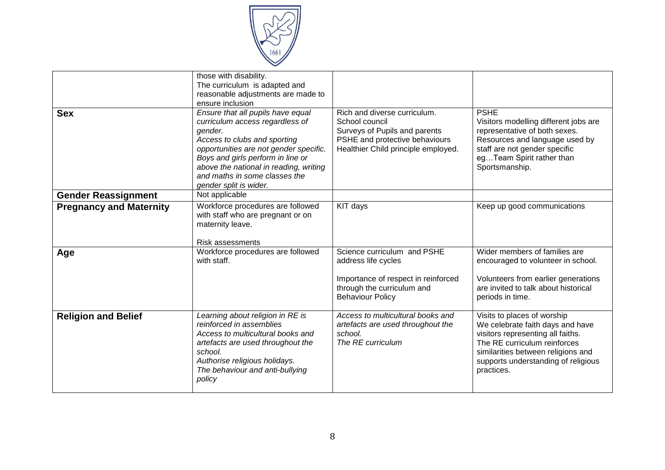

| <b>Sex</b>                     | those with disability.<br>The curriculum is adapted and<br>reasonable adjustments are made to<br>ensure inclusion<br>Ensure that all pupils have equal<br>curriculum access regardless of<br>gender.<br>Access to clubs and sporting<br>opportunities are not gender specific.<br>Boys and girls perform in line or<br>above the national in reading, writing | Rich and diverse curriculum.<br>School council<br>Surveys of Pupils and parents<br>PSHE and protective behaviours<br>Healthier Child principle employed. | <b>PSHE</b><br>Visitors modelling different jobs are<br>representative of both sexes.<br>Resources and language used by<br>staff are not gender specific<br>egTeam Spirit rather than<br>Sportsmanship.                         |
|--------------------------------|---------------------------------------------------------------------------------------------------------------------------------------------------------------------------------------------------------------------------------------------------------------------------------------------------------------------------------------------------------------|----------------------------------------------------------------------------------------------------------------------------------------------------------|---------------------------------------------------------------------------------------------------------------------------------------------------------------------------------------------------------------------------------|
|                                | and maths in some classes the<br>gender split is wider.                                                                                                                                                                                                                                                                                                       |                                                                                                                                                          |                                                                                                                                                                                                                                 |
| <b>Gender Reassignment</b>     | Not applicable                                                                                                                                                                                                                                                                                                                                                |                                                                                                                                                          |                                                                                                                                                                                                                                 |
| <b>Pregnancy and Maternity</b> | Workforce procedures are followed<br>with staff who are pregnant or on<br>maternity leave.<br><b>Risk assessments</b>                                                                                                                                                                                                                                         | KIT days                                                                                                                                                 | Keep up good communications                                                                                                                                                                                                     |
| Age                            | Workforce procedures are followed<br>with staff.                                                                                                                                                                                                                                                                                                              | Science curriculum and PSHE<br>address life cycles<br>Importance of respect in reinforced<br>through the curriculum and<br><b>Behaviour Policy</b>       | Wider members of families are<br>encouraged to volunteer in school.<br>Volunteers from earlier generations<br>are invited to talk about historical<br>periods in time.                                                          |
| <b>Religion and Belief</b>     | Learning about religion in RE is<br>reinforced in assemblies<br>Access to multicultural books and<br>artefacts are used throughout the<br>school.<br>Authorise religious holidays.<br>The behaviour and anti-bullying<br>policy                                                                                                                               | Access to multicultural books and<br>artefacts are used throughout the<br>school.<br>The RE curriculum                                                   | Visits to places of worship<br>We celebrate faith days and have<br>visitors representing all faiths.<br>The RE curriculum reinforces<br>similarities between religions and<br>supports understanding of religious<br>practices. |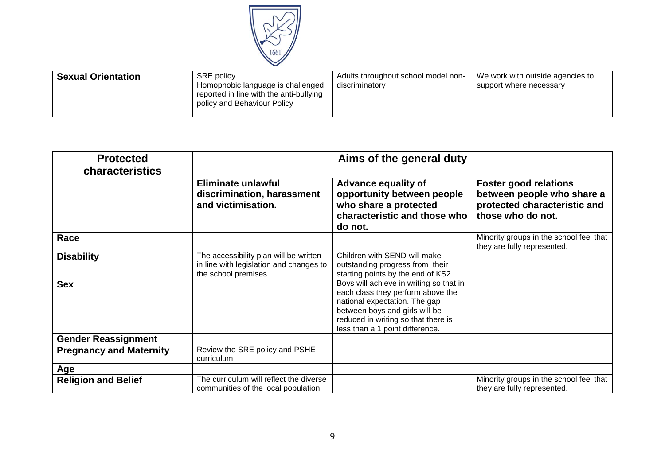

| <b>SRE</b> policy<br><b>Sexual Orientation</b><br>Homophobic language is challenged,<br>reported in line with the anti-bullying<br>policy and Behaviour Policy | Adults throughout school model non-<br>discriminatory | We work with outside agencies to<br>support where necessary |
|----------------------------------------------------------------------------------------------------------------------------------------------------------------|-------------------------------------------------------|-------------------------------------------------------------|
|----------------------------------------------------------------------------------------------------------------------------------------------------------------|-------------------------------------------------------|-------------------------------------------------------------|

| <b>Protected</b><br>characteristics | Aims of the general duty                                                                                  |                                                                                                                                                                                                                           |                                                                                                                 |  |  |
|-------------------------------------|-----------------------------------------------------------------------------------------------------------|---------------------------------------------------------------------------------------------------------------------------------------------------------------------------------------------------------------------------|-----------------------------------------------------------------------------------------------------------------|--|--|
|                                     | Eliminate unlawful<br>discrimination, harassment<br>and victimisation.                                    | <b>Advance equality of</b><br>opportunity between people<br>who share a protected<br>characteristic and those who<br>do not.                                                                                              | <b>Foster good relations</b><br>between people who share a<br>protected characteristic and<br>those who do not. |  |  |
| Race                                |                                                                                                           |                                                                                                                                                                                                                           | Minority groups in the school feel that<br>they are fully represented.                                          |  |  |
| <b>Disability</b>                   | The accessibility plan will be written<br>in line with legislation and changes to<br>the school premises. | Children with SEND will make<br>outstanding progress from their<br>starting points by the end of KS2.                                                                                                                     |                                                                                                                 |  |  |
| <b>Sex</b>                          |                                                                                                           | Boys will achieve in writing so that in<br>each class they perform above the<br>national expectation. The gap<br>between boys and girls will be<br>reduced in writing so that there is<br>less than a 1 point difference. |                                                                                                                 |  |  |
| <b>Gender Reassignment</b>          |                                                                                                           |                                                                                                                                                                                                                           |                                                                                                                 |  |  |
| <b>Pregnancy and Maternity</b>      | Review the SRE policy and PSHE<br>curriculum                                                              |                                                                                                                                                                                                                           |                                                                                                                 |  |  |
| Age                                 |                                                                                                           |                                                                                                                                                                                                                           |                                                                                                                 |  |  |
| <b>Religion and Belief</b>          | The curriculum will reflect the diverse<br>communities of the local population                            |                                                                                                                                                                                                                           | Minority groups in the school feel that<br>they are fully represented.                                          |  |  |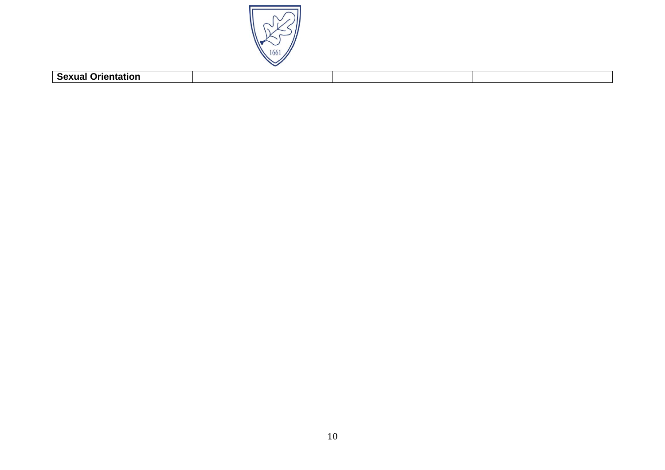

| Coville<br>$ -$<br>- ƏRXUƏL V |  |  |
|-------------------------------|--|--|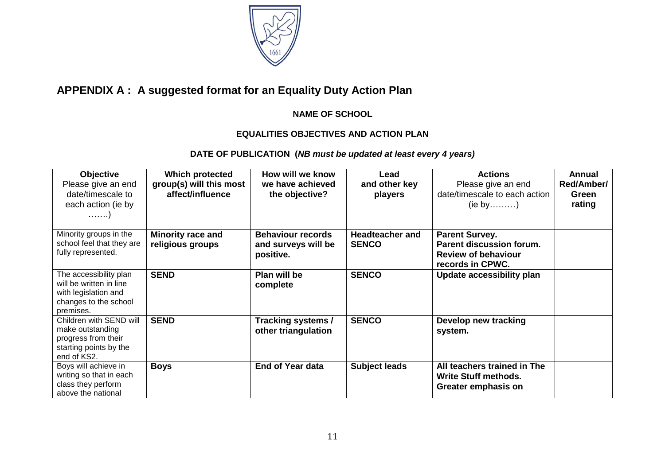

# **APPENDIX A : A suggested format for an Equality Duty Action Plan**

#### **NAME OF SCHOOL**

## **EQUALITIES OBJECTIVES AND ACTION PLAN**

### **DATE OF PUBLICATION (***NB must be updated at least every 4 years)*

| <b>Objective</b><br>Please give an end<br>date/timescale to<br>each action (ie by<br>. )                        | Which protected<br>group(s) will this most<br>affect/influence | How will we know<br>we have achieved<br>the objective?       | Lead<br>and other key<br>players       | <b>Actions</b><br>Please give an end<br>date/timescale to each action<br>$(ie by \dots)$                   | Annual<br>Red/Amber/<br>Green<br>rating |
|-----------------------------------------------------------------------------------------------------------------|----------------------------------------------------------------|--------------------------------------------------------------|----------------------------------------|------------------------------------------------------------------------------------------------------------|-----------------------------------------|
| Minority groups in the<br>school feel that they are<br>fully represented.                                       | <b>Minority race and</b><br>religious groups                   | <b>Behaviour records</b><br>and surveys will be<br>positive. | <b>Headteacher and</b><br><b>SENCO</b> | <b>Parent Survey.</b><br><b>Parent discussion forum.</b><br><b>Review of behaviour</b><br>records in CPWC. |                                         |
| The accessibility plan<br>will be written in line<br>with legislation and<br>changes to the school<br>premises. | <b>SEND</b>                                                    | Plan will be<br>complete                                     | <b>SENCO</b>                           | Update accessibility plan                                                                                  |                                         |
| Children with SEND will<br>make outstanding<br>progress from their<br>starting points by the<br>end of KS2.     | <b>SEND</b>                                                    | Tracking systems /<br>other triangulation                    | <b>SENCO</b>                           | Develop new tracking<br>system.                                                                            |                                         |
| Boys will achieve in<br>writing so that in each<br>class they perform<br>above the national                     | <b>Boys</b>                                                    | <b>End of Year data</b>                                      | <b>Subject leads</b>                   | All teachers trained in The<br><b>Write Stuff methods.</b><br>Greater emphasis on                          |                                         |